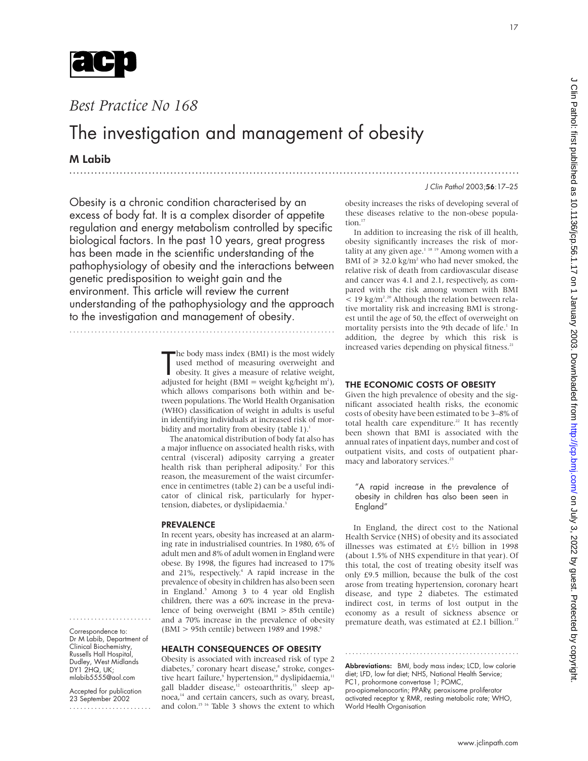

# *Best Practice No 168*

.............................................................................................................................

# The investigation and management of obesity

M Labib

#### J Clin Pathol 2003;56:17–25

17

Obesity is a chronic condition characterised by an excess of body fat. It is a complex disorder of appetite regulation and energy metabolism controlled by specific biological factors. In the past 10 years, great progress has been made in the scientific understanding of the pathophysiology of obesity and the interactions between genetic predisposition to weight gain and the environment. This article will review the current understanding of the pathophysiology and the approach to the investigation and management of obesity.

..........................................................................

The body mass index (BMI) is the most widely<br>used method of measuring overweight and<br>obesity. It gives a measure of relative weight,<br>adjusted for height (BMI = weight kg/height m<sup>2</sup>), he body mass index (BMI) is the most widely used method of measuring overweight and obesity. It gives a measure of relative weight, which allows comparisons both within and between populations. The World Health Organisation (WHO) classification of weight in adults is useful in identifying individuals at increased risk of morbidity and mortality from obesity (table  $1$ ).<sup>1</sup>

The anatomical distribution of body fat also has a major influence on associated health risks, with central (visceral) adiposity carrying a greater health risk than peripheral adiposity.<sup>2</sup> For this reason, the measurement of the waist circumference in centimetres (table 2) can be a useful indicator of clinical risk, particularly for hypertension, diabetes, or dyslipidaemia.<sup>3</sup>

#### PREVALENCE

In recent years, obesity has increased at an alarming rate in industrialised countries. In 1980, 6% of adult men and 8% of adult women in England were obese. By 1998, the figures had increased to 17% and 21%, respectively. $4$  A rapid increase in the prevalence of obesity in children has also been seen in England.<sup>5</sup> Among 3 to 4 year old English children, there was a 60% increase in the prevalence of being overweight (BMI > 85th centile) and a 70% increase in the prevalence of obesity (BMI  $>$  95th centile) between 1989 and 1998. $6$ 

# HEALTH CONSEQUENCES OF OBESITY

Obesity is associated with increased risk of type 2 diabetes,<sup>7</sup> coronary heart disease,<sup>8</sup> stroke, congestive heart failure,<sup>9</sup> hypertension,<sup>10</sup> dyslipidaemia,<sup>11</sup> gall bladder disease,<sup>12</sup> osteoarthritis,<sup>13</sup> sleep apnoea,<sup>14</sup> and certain cancers, such as ovary, breast, and colon.15 16 Table 3 shows the extent to which obesity increases the risks of developing several of these diseases relative to the non-obese population.<sup>17</sup>

In addition to increasing the risk of ill health, obesity significantly increases the risk of mortality at any given age.<sup>1 18 19</sup> Among women with a BMI of  $\geq 32.0 \text{ kg/m}^2$  who had never smoked, the relative risk of death from cardiovascular disease and cancer was 4.1 and 2.1, respectively, as compared with the risk among women with BMI  $<$  19 kg/m<sup>2</sup>.<sup>20</sup> Although the relation between relative mortality risk and increasing BMI is strongest until the age of 50, the effect of overweight on mortality persists into the 9th decade of life.<sup>1</sup> In addition, the degree by which this risk is increased varies depending on physical fitness.<sup>21</sup>

## THE ECONOMIC COSTS OF OBESITY

Given the high prevalence of obesity and the significant associated health risks, the economic costs of obesity have been estimated to be 3–8% of total health care expenditure.<sup>22</sup> It has recently been shown that BMI is associated with the annual rates of inpatient days, number and cost of outpatient visits, and costs of outpatient pharmacy and laboratory services.<sup>23</sup>

# "A rapid increase in the prevalence of obesity in children has also been seen in England"

In England, the direct cost to the National Health Service (NHS) of obesity and its associated illnesses was estimated at  $E\frac{1}{2}$  billion in 1998 (about 1.5% of NHS expenditure in that year). Of this total, the cost of treating obesity itself was only £9.5 million, because the bulk of the cost arose from treating hypertension, coronary heart disease, and type 2 diabetes. The estimated indirect cost, in terms of lost output in the economy as a result of sickness absence or premature death, was estimated at £2.1 billion.<sup>17</sup>

Abbreviations: BMI, body mass index; LCD, low calorie diet; LFD, low fat diet; NHS, National Health Service; PC1, prohormone convertase 1; POMC,

.................................................

pro-opiomelanocortin; PPARγ, peroxisome proliferator activated receptor γ; RMR, resting metabolic rate; WHO, World Health Organisation

Correspondence to: Dr M Labib, Department of Clinical Biochemistry, Russells Hall Hospital, Dudley, West Midlands DY1 2HQ, UK; mlabib5555@aol.com

.......................

Accepted for publication 23 September 2002 .......................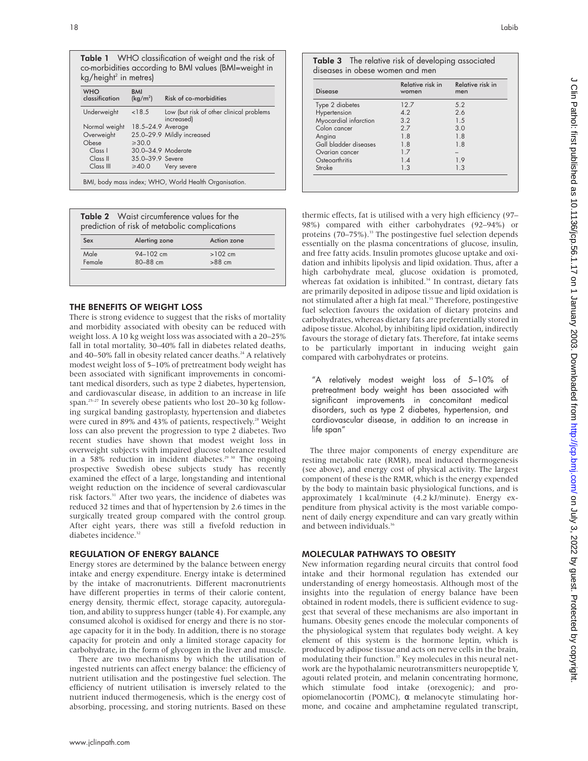Table 1 WHO classification of weight and the risk of co-morbidities according to BMI values (BMI=weight in  $kg/h$ eight<sup>2</sup> in metres)

| <b>WHO</b><br>classification | <b>BMI</b><br>(kg/m <sup>2</sup> ) | Risk of co-morbidities                                 |
|------------------------------|------------------------------------|--------------------------------------------------------|
| Underweight                  | < 18.5                             | Low (but risk of other clinical problems<br>increased) |
| Normal weight                | 18.5-24.9 Average                  |                                                        |
| Overweight                   |                                    | 25.0-29.9 Mildly increased                             |
| Obese                        | $\geq 30.0$                        |                                                        |
| Class I                      | 30.0-34.9 Moderate                 |                                                        |
| Class <sub>II</sub>          | 35.0-39.9 Severe                   |                                                        |
| Class III                    | ≥40.0                              | Very severe                                            |
|                              |                                    |                                                        |

BMI, body mass index; WHO, World Health Organisation.

| <b>Table 2</b> Waist circumference values for the |  |
|---------------------------------------------------|--|
| prediction of risk of metabolic complications     |  |

| Alerting zone                 | Action zone           |
|-------------------------------|-----------------------|
| $94 - 102$ cm<br>$80 - 88$ cm | $>102$ cm<br>$>88$ cm |
|                               |                       |

# THE BENEFITS OF WEIGHT LOSS

There is strong evidence to suggest that the risks of mortality and morbidity associated with obesity can be reduced with weight loss. A 10 kg weight loss was associated with a 20–25% fall in total mortality, 30–40% fall in diabetes related deaths, and 40–50% fall in obesity related cancer deaths.<sup>24</sup> A relatively modest weight loss of 5–10% of pretreatment body weight has been associated with significant improvements in concomitant medical disorders, such as type 2 diabetes, hypertension, and cardiovascular disease, in addition to an increase in life span.25–27 In severely obese patients who lost 20–30 kg following surgical banding gastroplasty, hypertension and diabetes were cured in 89% and 43% of patients, respectively.<sup>28</sup> Weight loss can also prevent the progression to type 2 diabetes. Two recent studies have shown that modest weight loss in overweight subjects with impaired glucose tolerance resulted in a 58% reduction in incident diabetes.<sup>29 30</sup> The ongoing prospective Swedish obese subjects study has recently examined the effect of a large, longstanding and intentional weight reduction on the incidence of several cardiovascular risk factors.<sup>31</sup> After two years, the incidence of diabetes was reduced 32 times and that of hypertension by 2.6 times in the surgically treated group compared with the control group. After eight years, there was still a fivefold reduction in diabetes incidence.<sup>32</sup>

# REGULATION OF ENERGY BALANCE

Energy stores are determined by the balance between energy intake and energy expenditure. Energy intake is determined by the intake of macronutrients. Different macronutrients have different properties in terms of their calorie content, energy density, thermic effect, storage capacity, autoregulation, and ability to suppress hunger (table 4). For example, any consumed alcohol is oxidised for energy and there is no storage capacity for it in the body. In addition, there is no storage capacity for protein and only a limited storage capacity for carbohydrate, in the form of glycogen in the liver and muscle.

There are two mechanisms by which the utilisation of ingested nutrients can affect energy balance: the efficiency of nutrient utilisation and the postingestive fuel selection. The efficiency of nutrient utilisation is inversely related to the nutrient induced thermogenesis, which is the energy cost of absorbing, processing, and storing nutrients. Based on these

| <b>Disease</b>        | Relative risk in<br>women | Relative risk in<br>men |
|-----------------------|---------------------------|-------------------------|
| Type 2 diabetes       | 12.7                      | 5.2                     |
| Hypertension          | $\Delta$ 2                | 26                      |
| Myocardial infarction | 3.2                       | 1.5                     |
| Colon cancer          | 27                        | 3.0                     |
| Angina                | 18                        | 1.8                     |
| Gall bladder diseases | 1.8                       | 1.8                     |
| Ovarian cancer        | 1.7                       |                         |
| Osteoarthritis        | 1.4                       | 19                      |
| Stroke                | 1.3                       | 1.3                     |

thermic effects, fat is utilised with a very high efficiency (97– 98%) compared with either carbohydrates (92–94%) or proteins (70–75%).<sup>33</sup> The postingestive fuel selection depends essentially on the plasma concentrations of glucose, insulin, and free fatty acids. Insulin promotes glucose uptake and oxidation and inhibits lipolysis and lipid oxidation. Thus, after a high carbohydrate meal, glucose oxidation is promoted, whereas fat oxidation is inhibited.<sup>34</sup> In contrast, dietary fats are primarily deposited in adipose tissue and lipid oxidation is not stimulated after a high fat meal.<sup>35</sup> Therefore, postingestive fuel selection favours the oxidation of dietary proteins and carbohydrates, whereas dietary fats are preferentially stored in adipose tissue. Alcohol, by inhibiting lipid oxidation, indirectly favours the storage of dietary fats. Therefore, fat intake seems to be particularly important in inducing weight gain compared with carbohydrates or proteins.

"A relatively modest weight loss of 5–10% of pretreatment body weight has been associated with significant improvements in concomitant medical disorders, such as type 2 diabetes, hypertension, and cardiovascular disease, in addition to an increase in life span"

The three major components of energy expenditure are resting metabolic rate (RMR), meal induced thermogenesis (see above), and energy cost of physical activity. The largest component of these is the RMR, which is the energy expended by the body to maintain basic physiological functions, and is approximately 1 kcal/minute (4.2 kJ/minute). Energy expenditure from physical activity is the most variable component of daily energy expenditure and can vary greatly within and between individuals.<sup>36</sup>

# MOLECULAR PATHWAYS TO OBESITY

New information regarding neural circuits that control food intake and their hormonal regulation has extended our understanding of energy homeostasis. Although most of the insights into the regulation of energy balance have been obtained in rodent models, there is sufficient evidence to suggest that several of these mechanisms are also important in humans. Obesity genes encode the molecular components of the physiological system that regulates body weight. A key element of this system is the hormone leptin, which is produced by adipose tissue and acts on nerve cells in the brain, modulating their function.<sup>37</sup> Key molecules in this neural network are the hypothalamic neurotransmitters neuropeptide Y, agouti related protein, and melanin concentrating hormone, which stimulate food intake (orexogenic); and proopiomelanocortin (POMC), α melanocyte stimulating hormone, and cocaine and amphetamine regulated transcript,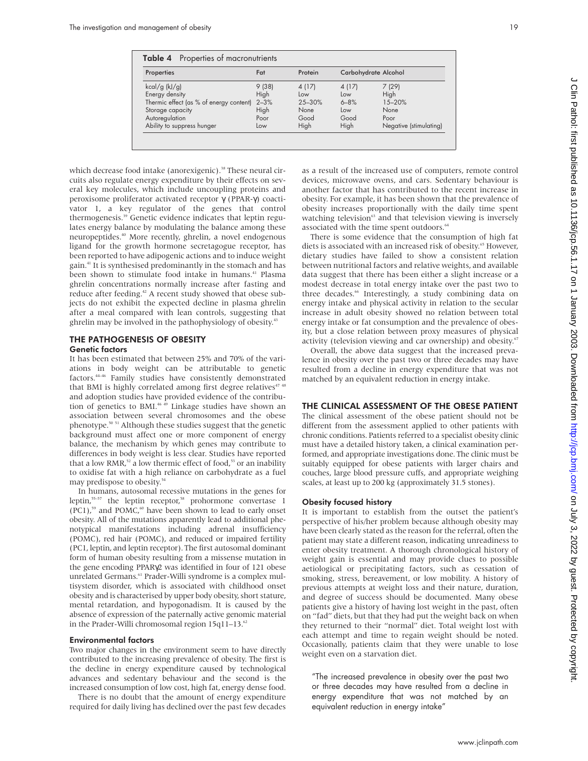| Properties                              | Fat      | Protein    |          | Carbohydrate Alcohol   |
|-----------------------------------------|----------|------------|----------|------------------------|
| $kcal/g$ (kJ/g)                         | 9(38)    | 4 (17)     | 4 (17)   | 7(29)                  |
| Energy density                          | High     | Low        | Low      | High                   |
| Thermic effect (as % of energy content) | $2 - 3%$ | $25 - 30%$ | $6 - 8%$ | $15 - 20%$             |
| Storage capacity                        | High     | None       | Low      | None                   |
| Autoregulation                          | Poor     | Good       | Good     | Poor                   |
| Ability to suppress hunger              | Low      | High       | High     | Negative (stimulating) |

which decrease food intake (anorexigenic).<sup>38</sup> These neural circuits also regulate energy expenditure by their effects on several key molecules, which include uncoupling proteins and peroxisome proliferator activated receptor γ (PPAR-γ) coactivator 1, a key regulator of the genes that control thermogenesis.<sup>39</sup> Genetic evidence indicates that leptin regulates energy balance by modulating the balance among these neuropeptides.40 More recently, ghrelin, a novel endogenous ligand for the growth hormone secretagogue receptor, has been reported to have adipogenic actions and to induce weight gain.41 It is synthesised predominantly in the stomach and has been shown to stimulate food intake in humans.<sup>41</sup> Plasma ghrelin concentrations normally increase after fasting and reduce after feeding.<sup>42</sup> A recent study showed that obese subjects do not exhibit the expected decline in plasma ghrelin after a meal compared with lean controls, suggesting that ghrelin may be involved in the pathophysiology of obesity.<sup>43</sup>

# THE PATHOGENESIS OF OBESITY

# Genetic factors

It has been estimated that between 25% and 70% of the variations in body weight can be attributable to genetic factors.44–46 Family studies have consistently demonstrated that BMI is highly correlated among first degree relatives $47.48$ and adoption studies have provided evidence of the contribution of genetics to BMI.<sup>46 49</sup> Linkage studies have shown an association between several chromosomes and the obese phenotype.50 51 Although these studies suggest that the genetic background must affect one or more component of energy balance, the mechanism by which genes may contribute to differences in body weight is less clear. Studies have reported that a low RMR,<sup>52</sup> a low thermic effect of food,<sup>53</sup> or an inability to oxidise fat with a high reliance on carbohydrate as a fuel may predispose to obesity.<sup>54</sup>

In humans, autosomal recessive mutations in the genes for leptin,<sup>55-57</sup> the leptin receptor,<sup>58</sup> prohormone convertase 1 (PC1),<sup>59</sup> and POMC,<sup>60</sup> have been shown to lead to early onset obesity. All of the mutations apparently lead to additional phenotypical manifestations including adrenal insufficiency (POMC), red hair (POMC), and reduced or impaired fertility (PC1, leptin, and leptin receptor). The first autosomal dominant form of human obesity resulting from a missense mutation in the gene encoding PPARγ2 was identified in four of 121 obese unrelated Germans.<sup>61</sup> Prader-Willi syndrome is a complex multisystem disorder, which is associated with childhood onset obesity and is characterised by upper body obesity, short stature, mental retardation, and hypogonadism. It is caused by the absence of expression of the paternally active genomic material in the Prader-Willi chromosomal region 15q11-13.<sup>62</sup>

# Environmental factors

Two major changes in the environment seem to have directly contributed to the increasing prevalence of obesity. The first is the decline in energy expenditure caused by technological advances and sedentary behaviour and the second is the increased consumption of low cost, high fat, energy dense food.

There is no doubt that the amount of energy expenditure required for daily living has declined over the past few decades as a result of the increased use of computers, remote control devices, microwave ovens, and cars. Sedentary behaviour is another factor that has contributed to the recent increase in obesity. For example, it has been shown that the prevalence of obesity increases proportionally with the daily time spent watching television<sup>63</sup> and that television viewing is inversely associated with the time spent outdoors.<sup>64</sup>

There is some evidence that the consumption of high fat diets is associated with an increased risk of obesity.<sup>65</sup> However, dietary studies have failed to show a consistent relation between nutritional factors and relative weights, and available data suggest that there has been either a slight increase or a modest decrease in total energy intake over the past two to three decades.<sup>66</sup> Interestingly, a study combining data on energy intake and physical activity in relation to the secular increase in adult obesity showed no relation between total energy intake or fat consumption and the prevalence of obesity, but a close relation between proxy measures of physical activity (television viewing and car ownership) and obesity.<sup>67</sup>

Overall, the above data suggest that the increased prevalence in obesity over the past two or three decades may have resulted from a decline in energy expenditure that was not matched by an equivalent reduction in energy intake.

# THE CLINICAL ASSESSMENT OF THE OBESE PATIENT

The clinical assessment of the obese patient should not be different from the assessment applied to other patients with chronic conditions. Patients referred to a specialist obesity clinic must have a detailed history taken, a clinical examination performed, and appropriate investigations done. The clinic must be suitably equipped for obese patients with larger chairs and couches, large blood pressure cuffs, and appropriate weighing scales, at least up to 200 kg (approximately 31.5 stones).

#### Obesity focused history

It is important to establish from the outset the patient's perspective of his/her problem because although obesity may have been clearly stated as the reason for the referral, often the patient may state a different reason, indicating unreadiness to enter obesity treatment. A thorough chronological history of weight gain is essential and may provide clues to possible aetiological or precipitating factors, such as cessation of smoking, stress, bereavement, or low mobility. A history of previous attempts at weight loss and their nature, duration, and degree of success should be documented. Many obese patients give a history of having lost weight in the past, often on "fad" diets, but that they had put the weight back on when they returned to their "normal" diet. Total weight lost with each attempt and time to regain weight should be noted. Occasionally, patients claim that they were unable to lose weight even on a starvation diet.

"The increased prevalence in obesity over the past two or three decades may have resulted from a decline in energy expenditure that was not matched by an equivalent reduction in energy intake"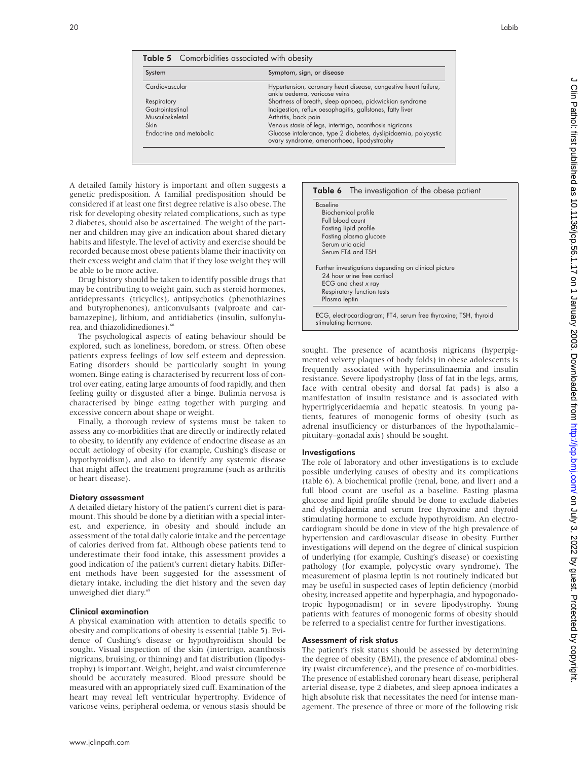| $\ddot{\phantom{a}}$                                |
|-----------------------------------------------------|
|                                                     |
|                                                     |
|                                                     |
|                                                     |
|                                                     |
|                                                     |
| $\frac{1}{2}$                                       |
|                                                     |
|                                                     |
| <b>.</b><br>.<br>.<br>.<br>$\ddot{\phantom{0}}$     |
|                                                     |
|                                                     |
|                                                     |
| こうりょう イファン ひば                                       |
|                                                     |
|                                                     |
|                                                     |
|                                                     |
|                                                     |
|                                                     |
|                                                     |
|                                                     |
| ᠈                                                   |
| <b>CONTRACTORS: THE SECTION PROCESS CONTRACTORS</b> |
|                                                     |
|                                                     |
|                                                     |
| ة<br>أ                                              |
|                                                     |
|                                                     |
|                                                     |
|                                                     |
|                                                     |
|                                                     |
| ֧֚֞֝<br>֧֧֚֚֚֚֚֚֚֚֚֚֚֚֚֝                            |
|                                                     |
|                                                     |
|                                                     |
|                                                     |
|                                                     |
|                                                     |
| ivition on this in                                  |
|                                                     |
|                                                     |
|                                                     |
|                                                     |
|                                                     |
| ׇ֘֝֝֬                                               |
|                                                     |
|                                                     |
|                                                     |
|                                                     |
|                                                     |
| I                                                   |

| System                  | Symptom, sign, or disease                                                                                     |  |
|-------------------------|---------------------------------------------------------------------------------------------------------------|--|
| Cardiovascular          | Hypertension, coronary heart disease, congestive heart failure,<br>ankle oedema, varicose veins               |  |
| Respiratory             | Shortness of breath, sleep apnoea, pickwickian syndrome                                                       |  |
| Gastrointestinal        | Indigestion, reflux oesophagitis, gallstones, fatty liver                                                     |  |
| Musculoskeletal         | Arthritis, back pain                                                                                          |  |
| Skin                    | Venous stasis of legs, intertrigo, acanthosis nigricans                                                       |  |
| Endocrine and metabolic | Glucose intolerance, type 2 diabetes, dyslipidaemia, polycystic<br>ovary syndrome, amenorrhoea, lipodystrophy |  |

A detailed family history is important and often suggests a genetic predisposition. A familial predisposition should be considered if at least one first degree relative is also obese. The risk for developing obesity related complications, such as type 2 diabetes, should also be ascertained. The weight of the partner and children may give an indication about shared dietary habits and lifestyle. The level of activity and exercise should be recorded because most obese patients blame their inactivity on their excess weight and claim that if they lose weight they will be able to be more active.

Drug history should be taken to identify possible drugs that may be contributing to weight gain, such as steroid hormones, antidepressants (tricyclics), antipsychotics (phenothiazines and butyrophenones), anticonvulsants (valproate and carbamazepine), lithium, and antidiabetics (insulin, sulfonylurea, and thiazolidinediones).<sup>68</sup>

The psychological aspects of eating behaviour should be explored, such as loneliness, boredom, or stress. Often obese patients express feelings of low self esteem and depression. Eating disorders should be particularly sought in young women. Binge eating is characterised by recurrent loss of control over eating, eating large amounts of food rapidly, and then feeling guilty or disgusted after a binge. Bulimia nervosa is characterised by binge eating together with purging and excessive concern about shape or weight.

Finally, a thorough review of systems must be taken to assess any co-morbidities that are directly or indirectly related to obesity, to identify any evidence of endocrine disease as an occult aetiology of obesity (for example, Cushing's disease or hypothyroidism), and also to identify any systemic disease that might affect the treatment programme (such as arthritis or heart disease).

#### Dietary assessment

A detailed dietary history of the patient's current diet is paramount. This should be done by a dietitian with a special interest, and experience, in obesity and should include an assessment of the total daily calorie intake and the percentage of calories derived from fat. Although obese patients tend to underestimate their food intake, this assessment provides a good indication of the patient's current dietary habits. Different methods have been suggested for the assessment of dietary intake, including the diet history and the seven day unweighed diet diary.<sup>69</sup>

# Clinical examination

A physical examination with attention to details specific to obesity and complications of obesity is essential (table 5). Evidence of Cushing's disease or hypothyroidism should be sought. Visual inspection of the skin (intertrigo, acanthosis nigricans, bruising, or thinning) and fat distribution (lipodystrophy) is important. Weight, height, and waist circumference should be accurately measured. Blood pressure should be measured with an appropriately sized cuff. Examination of the heart may reveal left ventricular hypertrophy. Evidence of varicose veins, peripheral oedema, or venous stasis should be



sought. The presence of acanthosis nigricans (hyperpigmented velvety plaques of body folds) in obese adolescents is frequently associated with hyperinsulinaemia and insulin resistance. Severe lipodystrophy (loss of fat in the legs, arms, face with central obesity and dorsal fat pads) is also a manifestation of insulin resistance and is associated with hypertriglyceridaemia and hepatic steatosis. In young patients, features of monogenic forms of obesity (such as adrenal insufficiency or disturbances of the hypothalamic– pituitary–gonadal axis) should be sought.

### **Investigations**

The role of laboratory and other investigations is to exclude possible underlying causes of obesity and its complications (table 6). A biochemical profile (renal, bone, and liver) and a full blood count are useful as a baseline. Fasting plasma glucose and lipid profile should be done to exclude diabetes and dyslipidaemia and serum free thyroxine and thyroid stimulating hormone to exclude hypothyroidism. An electrocardiogram should be done in view of the high prevalence of hypertension and cardiovascular disease in obesity. Further investigations will depend on the degree of clinical suspicion of underlying (for example, Cushing's disease) or coexisting pathology (for example, polycystic ovary syndrome). The measurement of plasma leptin is not routinely indicated but may be useful in suspected cases of leptin deficiency (morbid obesity, increased appetite and hyperphagia, and hypogonadotropic hypogonadism) or in severe lipodystrophy. Young patients with features of monogenic forms of obesity should be referred to a specialist centre for further investigations.

#### Assessment of risk status

The patient's risk status should be assessed by determining the degree of obesity (BMI), the presence of abdominal obesity (waist circumference), and the presence of co-morbidities. The presence of established coronary heart disease, peripheral arterial disease, type 2 diabetes, and sleep apnoea indicates a high absolute risk that necessitates the need for intense management. The presence of three or more of the following risk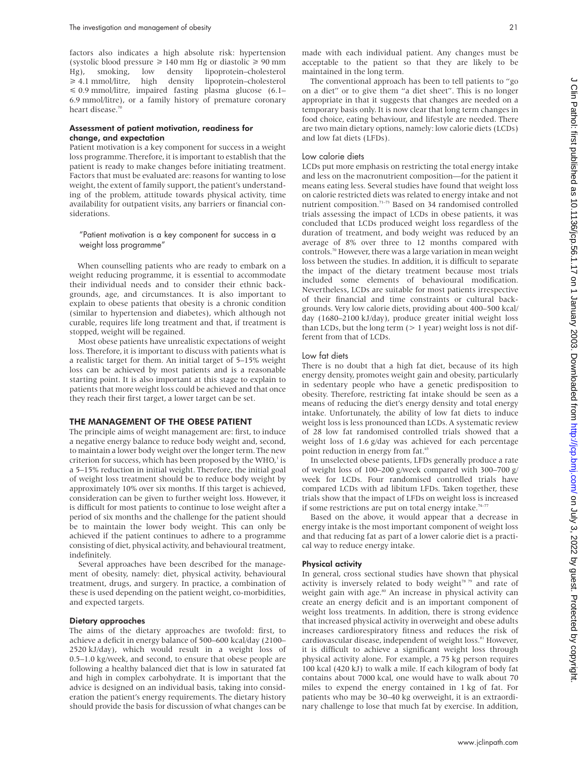factors also indicates a high absolute risk: hypertension (systolic blood pressure  $\geq 140$  mm Hg or diastolic  $\geq 90$  mm Hg), smoking, low density lipoprotein–cholesterol > 4.1 mmol/litre, high density lipoprotein–cholesterol  $\leq 0.9$  mmol/litre, impaired fasting plasma glucose (6.1– 6.9 mmol/litre), or a family history of premature coronary heart disease. $70$ 

#### Assessment of patient motivation, readiness for change, and expectation

Patient motivation is a key component for success in a weight loss programme. Therefore, it is important to establish that the patient is ready to make changes before initiating treatment. Factors that must be evaluated are: reasons for wanting to lose weight, the extent of family support, the patient's understanding of the problem, attitude towards physical activity, time availability for outpatient visits, any barriers or financial considerations.

"Patient motivation is a key component for success in a weight loss programme"

When counselling patients who are ready to embark on a weight reducing programme, it is essential to accommodate their individual needs and to consider their ethnic backgrounds, age, and circumstances. It is also important to explain to obese patients that obesity is a chronic condition (similar to hypertension and diabetes), which although not curable, requires life long treatment and that, if treatment is stopped, weight will be regained.

Most obese patients have unrealistic expectations of weight loss. Therefore, it is important to discuss with patients what is a realistic target for them. An initial target of 5–15% weight loss can be achieved by most patients and is a reasonable starting point. It is also important at this stage to explain to patients that more weight loss could be achieved and that once they reach their first target, a lower target can be set.

# THE MANAGEMENT OF THE OBESE PATIENT

The principle aims of weight management are: first, to induce a negative energy balance to reduce body weight and, second, to maintain a lower body weight over the longer term. The new criterion for success, which has been proposed by the WHO,<sup>1</sup> is a 5–15% reduction in initial weight. Therefore, the initial goal of weight loss treatment should be to reduce body weight by approximately 10% over six months. If this target is achieved, consideration can be given to further weight loss. However, it is difficult for most patients to continue to lose weight after a period of six months and the challenge for the patient should be to maintain the lower body weight. This can only be achieved if the patient continues to adhere to a programme consisting of diet, physical activity, and behavioural treatment, indefinitely.

Several approaches have been described for the management of obesity, namely: diet, physical activity, behavioural treatment, drugs, and surgery. In practice, a combination of these is used depending on the patient weight, co-morbidities, and expected targets.

#### Dietary approaches

The aims of the dietary approaches are twofold: first, to achieve a deficit in energy balance of 500–600 kcal/day (2100– 2520 kJ/day), which would result in a weight loss of 0.5–1.0 kg/week, and second, to ensure that obese people are following a healthy balanced diet that is low in saturated fat and high in complex carbohydrate. It is important that the advice is designed on an individual basis, taking into consideration the patient's energy requirements. The dietary history should provide the basis for discussion of what changes can be made with each individual patient. Any changes must be acceptable to the patient so that they are likely to be maintained in the long term.

The conventional approach has been to tell patients to "go on a diet" or to give them "a diet sheet". This is no longer appropriate in that it suggests that changes are needed on a temporary basis only. It is now clear that long term changes in food choice, eating behaviour, and lifestyle are needed. There are two main dietary options, namely: low calorie diets (LCDs) and low fat diets (LFDs).

#### Low calorie diets

LCDs put more emphasis on restricting the total energy intake and less on the macronutrient composition—for the patient it means eating less. Several studies have found that weight loss on calorie restricted diets was related to energy intake and not nutrient composition.71–73 Based on 34 randomised controlled trials assessing the impact of LCDs in obese patients, it was concluded that LCDs produced weight loss regardless of the duration of treatment, and body weight was reduced by an average of 8% over three to 12 months compared with controls.70 However, there was a large variation in mean weight loss between the studies. In addition, it is difficult to separate the impact of the dietary treatment because most trials included some elements of behavioural modification. Nevertheless, LCDs are suitable for most patients irrespective of their financial and time constraints or cultural backgrounds. Very low calorie diets, providing about 400–500 kcal/ day (1680–2100 kJ/day), produce greater initial weight loss than LCDs, but the long term  $(> 1$  year) weight loss is not different from that of LCDs.

# Low fat diets

There is no doubt that a high fat diet, because of its high energy density, promotes weight gain and obesity, particularly in sedentary people who have a genetic predisposition to obesity. Therefore, restricting fat intake should be seen as a means of reducing the diet's energy density and total energy intake. Unfortunately, the ability of low fat diets to induce weight loss is less pronounced than LCDs. A systematic review of 28 low fat randomised controlled trials showed that a weight loss of 1.6 g/day was achieved for each percentage point reduction in energy from fat.<sup>65</sup>

In unselected obese patients, LFDs generally produce a rate of weight loss of 100–200 g/week compared with 300–700 g/ week for LCDs. Four randomised controlled trials have compared LCDs with ad libitum LFDs. Taken together, these trials show that the impact of LFDs on weight loss is increased if some restrictions are put on total energy intake.<sup>74-7</sup>

Based on the above, it would appear that a decrease in energy intake is the most important component of weight loss and that reducing fat as part of a lower calorie diet is a practical way to reduce energy intake.

#### Physical activity

In general, cross sectional studies have shown that physical activity is inversely related to body weight<sup>78 79</sup> and rate of weight gain with age.<sup>80</sup> An increase in physical activity can create an energy deficit and is an important component of weight loss treatments. In addition, there is strong evidence that increased physical activity in overweight and obese adults increases cardiorespiratory fitness and reduces the risk of cardiovascular disease, independent of weight loss.<sup>81</sup> However, it is difficult to achieve a significant weight loss through physical activity alone. For example, a 75 kg person requires 100 kcal (420 kJ) to walk a mile. If each kilogram of body fat contains about 7000 kcal, one would have to walk about 70 miles to expend the energy contained in 1 kg of fat. For patients who may be 30–40 kg overweight, it is an extraordinary challenge to lose that much fat by exercise. In addition,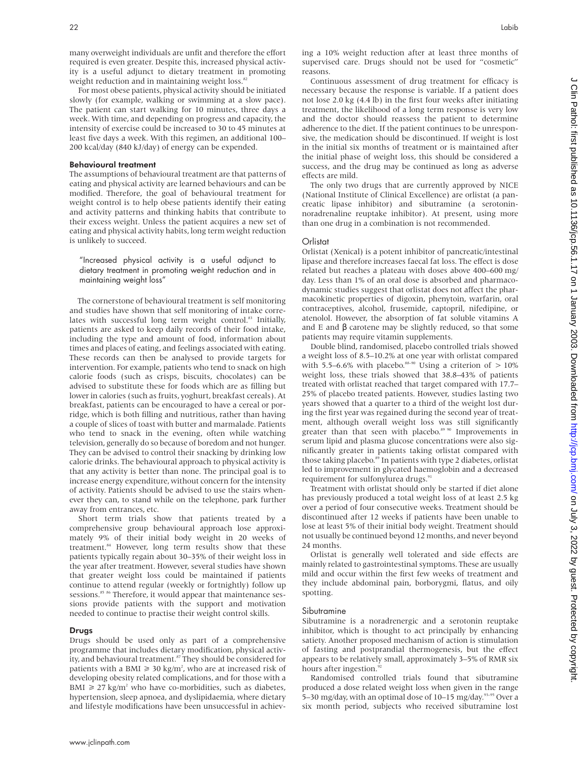many overweight individuals are unfit and therefore the effort required is even greater. Despite this, increased physical activity is a useful adjunct to dietary treatment in promoting weight reduction and in maintaining weight loss. $82$ 

For most obese patients, physical activity should be initiated slowly (for example, walking or swimming at a slow pace). The patient can start walking for 10 minutes, three days a week. With time, and depending on progress and capacity, the intensity of exercise could be increased to 30 to 45 minutes at least five days a week. With this regimen, an additional 100– 200 kcal/day (840 kJ/day) of energy can be expended.

### Behavioural treatment

The assumptions of behavioural treatment are that patterns of eating and physical activity are learned behaviours and can be modified. Therefore, the goal of behavioural treatment for weight control is to help obese patients identify their eating and activity patterns and thinking habits that contribute to their excess weight. Unless the patient acquires a new set of eating and physical activity habits, long term weight reduction is unlikely to succeed.

# "Increased physical activity is a useful adjunct to dietary treatment in promoting weight reduction and in maintaining weight loss"

The cornerstone of behavioural treatment is self monitoring and studies have shown that self monitoring of intake correlates with successful long term weight control.<sup>83</sup> Initially, patients are asked to keep daily records of their food intake, including the type and amount of food, information about times and places of eating, and feelings associated with eating. These records can then be analysed to provide targets for intervention. For example, patients who tend to snack on high calorie foods (such as crisps, biscuits, chocolates) can be advised to substitute these for foods which are as filling but lower in calories (such as fruits, yoghurt, breakfast cereals). At breakfast, patients can be encouraged to have a cereal or porridge, which is both filling and nutritious, rather than having a couple of slices of toast with butter and marmalade. Patients who tend to snack in the evening, often while watching television, generally do so because of boredom and not hunger. They can be advised to control their snacking by drinking low calorie drinks. The behavioural approach to physical activity is that any activity is better than none. The principal goal is to increase energy expenditure, without concern for the intensity of activity. Patients should be advised to use the stairs whenever they can, to stand while on the telephone, park further away from entrances, etc.

Short term trials show that patients treated by a comprehensive group behavioural approach lose approximately 9% of their initial body weight in 20 weeks of treatment.<sup>84</sup> However, long term results show that these patients typically regain about 30–35% of their weight loss in the year after treatment. However, several studies have shown that greater weight loss could be maintained if patients continue to attend regular (weekly or fortnightly) follow up sessions.<sup>85 86</sup> Therefore, it would appear that maintenance sessions provide patients with the support and motivation needed to continue to practise their weight control skills.

#### Drugs

Drugs should be used only as part of a comprehensive programme that includes dietary modification, physical activity, and behavioural treatment.<sup>87</sup> They should be considered for patients with a BMI  $\geq 30 \text{ kg/m}^2$ , who are at increased risk of developing obesity related complications, and for those with a BMI  $\geq$  27 kg/m<sup>2</sup> who have co-morbidities, such as diabetes, hypertension, sleep apnoea, and dyslipidaemia, where dietary and lifestyle modifications have been unsuccessful in achieving a 10% weight reduction after at least three months of supervised care. Drugs should not be used for "cosmetic" reasons.

Continuous assessment of drug treatment for efficacy is necessary because the response is variable. If a patient does not lose 2.0 kg (4.4 lb) in the first four weeks after initiating treatment, the likelihood of a long term response is very low and the doctor should reassess the patient to determine adherence to the diet. If the patient continues to be unresponsive, the medication should be discontinued. If weight is lost in the initial six months of treatment or is maintained after the initial phase of weight loss, this should be considered a success, and the drug may be continued as long as adverse effects are mild.

The only two drugs that are currently approved by NICE (National Institute of Clinical Excellence) are orlistat (a pancreatic lipase inhibitor) and sibutramine (a serotoninnoradrenaline reuptake inhibitor). At present, using more than one drug in a combination is not recommended.

#### Orlistat

Orlistat (Xenical) is a potent inhibitor of pancreatic/intestinal lipase and therefore increases faecal fat loss. The effect is dose related but reaches a plateau with doses above 400–600 mg/ day. Less than 1% of an oral dose is absorbed and pharmacodynamic studies suggest that orlistat does not affect the pharmacokinetic properties of digoxin, phenytoin, warfarin, oral contraceptives, alcohol, frusemide, captopril, nifedipine, or atenolol. However, the absorption of fat soluble vitamins A and E and β carotene may be slightly reduced, so that some patients may require vitamin supplements.

Double blind, randomised, placebo controlled trials showed a weight loss of 8.5–10.2% at one year with orlistat compared with 5.5–6.6% with placebo.<sup>88-90</sup> Using a criterion of  $> 10\%$ weight loss, these trials showed that 38.8–43% of patients treated with orlistat reached that target compared with 17.7– 25% of placebo treated patients. However, studies lasting two years showed that a quarter to a third of the weight lost during the first year was regained during the second year of treatment, although overall weight loss was still significantly greater than that seen with placebo.<sup>89 90</sup> Improvements in serum lipid and plasma glucose concentrations were also significantly greater in patients taking orlistat compared with those taking placebo.<sup>89</sup> In patients with type 2 diabetes, orlistat led to improvement in glycated haemoglobin and a decreased requirement for sulfonylurea drugs.<sup>91</sup>

Treatment with orlistat should only be started if diet alone has previously produced a total weight loss of at least 2.5 kg over a period of four consecutive weeks. Treatment should be discontinued after 12 weeks if patients have been unable to lose at least 5% of their initial body weight. Treatment should not usually be continued beyond 12 months, and never beyond 24 months.

Orlistat is generally well tolerated and side effects are mainly related to gastrointestinal symptoms. These are usually mild and occur within the first few weeks of treatment and they include abdominal pain, borborygmi, flatus, and oily spotting.

#### **Sibutramine**

Sibutramine is a noradrenergic and a serotonin reuptake inhibitor, which is thought to act principally by enhancing satiety. Another proposed mechanism of action is stimulation of fasting and postprandial thermogenesis, but the effect appears to be relatively small, approximately 3–5% of RMR six hours after ingestion.<sup>92</sup>

Randomised controlled trials found that sibutramine produced a dose related weight loss when given in the range 5–30 mg/day, with an optimal dose of 10–15 mg/day.<sup>93-95</sup> Over a six month period, subjects who received sibutramine lost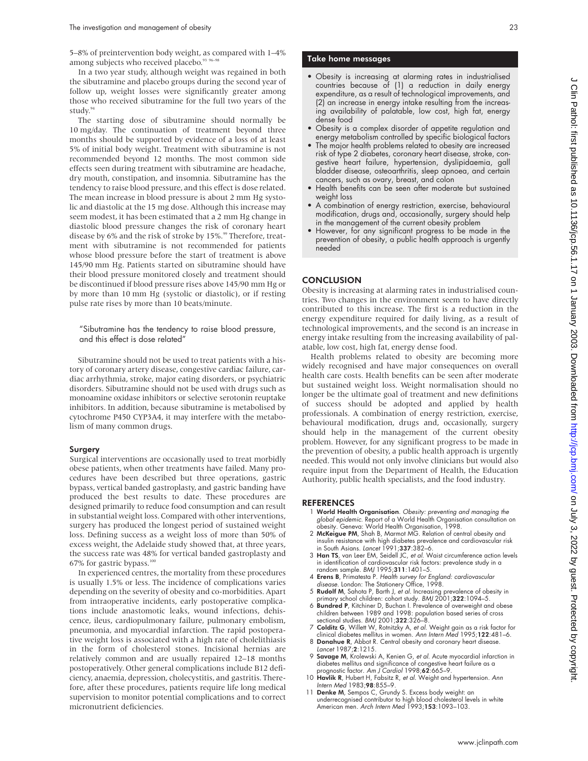5–8% of preintervention body weight, as compared with 1–4% among subjects who received placebo.<sup>93 96</sup>

In a two year study, although weight was regained in both the sibutramine and placebo groups during the second year of follow up, weight losses were significantly greater among those who received sibutramine for the full two years of the study.<sup>94</sup>

The starting dose of sibutramine should normally be 10 mg/day. The continuation of treatment beyond three months should be supported by evidence of a loss of at least 5% of initial body weight. Treatment with sibutramine is not recommended beyond 12 months. The most common side effects seen during treatment with sibutramine are headache, dry mouth, constipation, and insomnia. Sibutramine has the tendency to raise blood pressure, and this effect is dose related. The mean increase in blood pressure is about 2 mm Hg systolic and diastolic at the 15 mg dose. Although this increase may seem modest, it has been estimated that a 2 mm Hg change in diastolic blood pressure changes the risk of coronary heart disease by  $6\%$  and the risk of stroke by  $15\%$ .<sup>99</sup> Therefore, treatment with sibutramine is not recommended for patients whose blood pressure before the start of treatment is above 145/90 mm Hg. Patients started on sibutramine should have their blood pressure monitored closely and treatment should be discontinued if blood pressure rises above 145/90 mm Hg or by more than 10 mm Hg (systolic or diastolic), or if resting pulse rate rises by more than 10 beats/minute.

# "Sibutramine has the tendency to raise blood pressure, and this effect is dose related"

Sibutramine should not be used to treat patients with a history of coronary artery disease, congestive cardiac failure, cardiac arrhythmia, stroke, major eating disorders, or psychiatric disorders. Sibutramine should not be used with drugs such as monoamine oxidase inhibitors or selective serotonin reuptake inhibitors. In addition, because sibutramine is metabolised by cytochrome P450 CYP3A4, it may interfere with the metabolism of many common drugs.

#### Surgery

Surgical interventions are occasionally used to treat morbidly obese patients, when other treatments have failed. Many procedures have been described but three operations, gastric bypass, vertical banded gastroplasty, and gastric banding have produced the best results to date. These procedures are designed primarily to reduce food consumption and can result in substantial weight loss. Compared with other interventions, surgery has produced the longest period of sustained weight loss. Defining success as a weight loss of more than 50% of excess weight, the Adelaide study showed that, at three years, the success rate was 48% for vertical banded gastroplasty and 67% for gastric bypass. $10^{10}$ 

In experienced centres, the mortality from these procedures is usually 1.5% or less. The incidence of complications varies depending on the severity of obesity and co-morbidities. Apart from intraoperative incidents, early postoperative complications include anastomotic leaks, wound infections, dehiscence, ileus, cardiopulmonary failure, pulmonary embolism, pneumonia, and myocardial infarction. The rapid postoperative weight loss is associated with a high rate of cholelithiasis in the form of cholesterol stones. Incisional hernias are relatively common and are usually repaired 12–18 months postoperatively. Other general complications include B12 deficiency, anaemia, depression, cholecystitis, and gastritis. Therefore, after these procedures, patients require life long medical supervision to monitor potential complications and to correct micronutrient deficiencies.

# Take home messages

- Obesity is increasing at alarming rates in industrialised countries because of (1) a reduction in daily energy expenditure, as a result of technological improvements, and (2) an increase in energy intake resulting from the increasing availability of palatable, low cost, high fat, energy dense food
- Obesity is a complex disorder of appetite regulation and energy metabolism controlled by specific biological factors
- The major health problems related to obesity are increased risk of type 2 diabetes, coronary heart disease, stroke, congestive heart failure, hypertension, dyslipidaemia, gall bladder disease, osteoarthritis, sleep apnoea, and certain cancers, such as ovary, breast, and colon
- Health benefits can be seen after moderate but sustained weight loss
- A combination of energy restriction, exercise, behavioural modification, drugs and, occasionally, surgery should help in the management of the current obesity problem
- However, for any significant progress to be made in the prevention of obesity, a public health approach is urgently needed

# **CONCLUSION**

Obesity is increasing at alarming rates in industrialised countries. Two changes in the environment seem to have directly contributed to this increase. The first is a reduction in the energy expenditure required for daily living, as a result of technological improvements, and the second is an increase in energy intake resulting from the increasing availability of palatable, low cost, high fat, energy dense food.

Health problems related to obesity are becoming more widely recognised and have major consequences on overall health care costs. Health benefits can be seen after moderate but sustained weight loss. Weight normalisation should no longer be the ultimate goal of treatment and new definitions of success should be adopted and applied by health professionals. A combination of energy restriction, exercise, behavioural modification, drugs and, occasionally, surgery should help in the management of the current obesity problem. However, for any significant progress to be made in the prevention of obesity, a public health approach is urgently needed. This would not only involve clinicians but would also require input from the Department of Health, the Education Authority, public health specialists, and the food industry.

# REFERENCES

- 1 World Health Organisation. Obesity: preventing and managing the <sup>g</sup>lobal epidemic. Report of a World Health Organisation consultation on obesity. Geneva: World Health Organisation, 1998.
- 2 McKeigue PM, Shah B, Marmot MG. Relation of central obesity and insulin resistance with high diabetes prevalence and cardiovascular risk in South Asians. Lancet 1991;337:382–6.
- 3 Han TS, van Leer EM, Seidell JC, et al. Waist circumference action levels in identification of cardiovascular risk factors: prevalence study in a random sample. BMJ 1995;311:1401–5.
- 
- 4 **Erens B**, Primatesta P. *Health survey for England: cardiovascular disease. Lon*don: The Stationery Office, 1998.<br>5 **Rudolf** M, Sahota P, Barth J, et al. Increasing prevalence of obesity in primary school children: coho
- 6 Bundred P, Kitchiner D, Buchan I. Prevalence of overweight and obese children between 1989 and 1998: population based series of cross sectional studies. BMJ 2001;322:326–8.
- 7 Colditz G, Willett W, Rotnitzky A, et al. Weight gain as a risk factor for clinical diabetes mellitus in women. Ann Intern Med 1995;122:481–6.
- 8 Donahue R, Abbot R. Central obesity and coronary heart disease. Lancet 1987;2:1215.
- 9 Savage M, Krolewski A, Kenien G, et al. Acute myocardial infarction in diabetes mellitus and significance of congestive heart failure as a<br>prognostic factor. Am J Cardiol 1998;**62**:665–9.<br>10 **Havlik R**, Hubert H, Fabsitz R, et al. Weight and hypertension. Ann
- Intern Med 1983;98:855-9
- 11 Denke M, Sempos C, Grundy S. Excess body weight: an underrecognised contributor to high blood cholesterol levels in white American men. Arch Intern Med 1993;153:1093-103.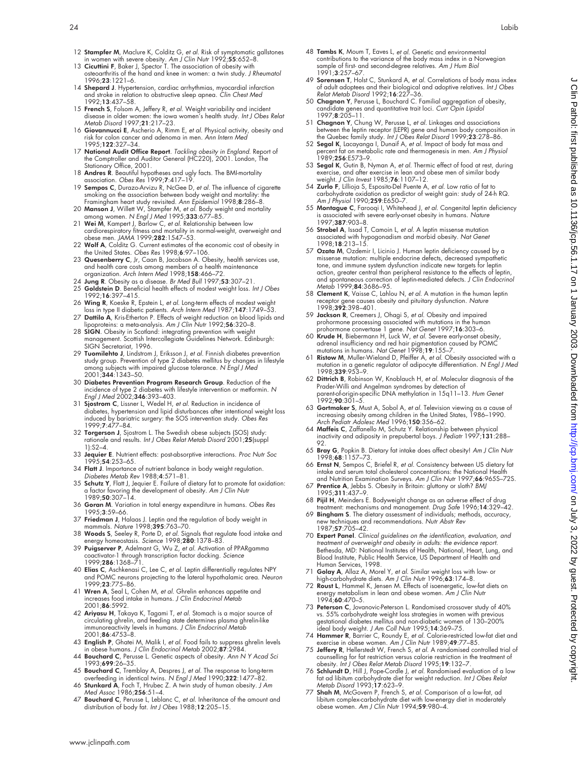- 12 **Stampfer M**, Maclure K, Colditz G, et al. Risk of symptomatic gallstones<br>in women with severe obesity. Am J Clin Nutr 1992;**55**:652–8.<br>13 **Cicuttini F**, Baker J, Spector T. The association of obesity with
- osteoarthritis of the hand and knee in women: a twin study. J Rheumatol 1996;23:1221–6.
- 14 Shepard J. Hypertension, cardiac arrhythmias, myocardial infarction and stroke in relation to obstructive sleep apnea. Clin Chest Med 1992;13:437-58.
- 15 French S, Folsom A, Jeffery R, et al. Weight variability and incident disease in older women: the iowa women's health study. *Int J Obes Relat*<br>Metab Disord 1997;**21**:217–23.<br>16 **Giovannucci E**, Ascherio A, Rimm E, *et al*. Physical activity, obesity and
- risk for colon cancer and adenoma in men. Ann Intern Med 1995;122:327–34.
- 17 National Audit Office Report. Tackling obesity in England. Report of the Comptroller and Auditor General (HC220), 2001. London, The
- Stationary Office, 2001. 18 Andres R. Beautiful hypotheses and ugly facts. The BMI-mortality association. Obes Res 1999;7:417–19.
- 19 Sempos C, Durazo-Arvizu R, NcGee D, et al. The influence of cigarette smoking on the association between body weight and mortality: the
- Framingham heart study revisited. Ann Epidemiol 1998;8:286–8. 20 Manson J, Willett W, Stampfer M, et al. Body weight and mortality among women. N Engl J Med 1995;333:677–85.
- 21 Wei M, Kampert J, Barlow C, et al. Relationship between low cardiorespiratory fitness and mortality in normal-weight, overweight and obese men. JAMA 1999;282:1547–53.
- 22 Wolf A, Colditz G. Current estimates of the economic cost of obesity in the United States. Obes Res 1998;6:97–106.
- 23 Quesenberry C, Jr, Caan B, Jacobson A. Obesity, health services use, and health care costs among members of a health maintenance organization. Arch Intern Med 1998;158:466–72.
- 24 Jung R. Obesity as a disease. Br Med Bull 1997;53:307–21.
- 25 Goldstein D. Beneficial health effects of modest weight loss. Int J Obes 1992;16:397–415.
- 26 Wing R, Koeske R, Epstein L, et al. Long-term effects of modest weight loss in type II diabetic patients. Arch Intern Med 1987;**147**:1749–53.<br>27 **Dattilo A**, Kris-Etherton P. Effects of weight reduction on blood lipids and
- lipoproteins: a meta-analysis. Am J Clin Nutr 1992;56:320-8.
- 28 SIGN. Obesity in Scotland: integrating prevention with weight management. Scottish Intercollegiate Guidelines Network. Edinburgh: SIGN Secretariat, 1996.
- 29 Tuomilehto J, Lindstrom J, Eriksson J, et al. Finnish diabetes prevention study group. Prevention of type 2 diabetes mellitus by changes in lifestyle among subjects with impaired glucose tolerance. N Engl J Med 2001;344:1343–50.
- 30 Diabetes Prevention Program Research Group. Reduction of the incidence of type 2 diabetes with lifestyle intervention or metformin. N Engl J Med 2002;346:393–403.
- 31 Sjostrom C, Lissner L, Wedel H, et al. Reduction in incidence of diabetes, hypertension and lipid disturbances after intentional weight loss induced by bariatric surgery: the SOS intervention study. Obes Res 1999;7:477–84.
- 32 Torgerson J, Sjostrom L. The Swedish obese subjects (SOS) study: rationale and results. Int J Obes Relat Metab Disord 2001;25(suppl  $11-S2-4$
- 33 Jequier E. Nutrient effects: post-absorptive interactions. Proc Nutr Soc 1995;**54**:253–65.
- 34 Flatt J. Importance of nutrient balance in body weight regulation. Diabetes Metab Rev 1988;4:571–81.
- 35 **Schutz Y**, Flatt J, Jequier E. Failure of dietary fat to promote fat oxidation:<br>a factor favoring the development of obesity. Am J Clin Nutr<br>1989;**50**:307–14.
- 36 Goran M. Variation in total energy expenditure in humans. Obes Res 1995:3:59-66
- 37 Friedman J, Halaas J. Leptin and the regulation of body weight in mammals. Nature 1998;395:763–70.
- 38 Woods S, Seeley R, Porte D, et al. Signals that regulate food intake and energy homeostasis. Science 1998;280:1378–83.
- 39 Puigserver P, Adelmant G, Wu Z, et al. Activation of PPARgamma coactivator-1 through transcription factor docking. Science 1999;**286**:1368–7
- 40 Elias C, Aschkenasi C, Lee C, et al. Leptin differentially regulates NPY and POMC neurons projecting to the lateral hypothalamic area. Neuron 1999:23:775-86.
- 41 Wren A, Seal L, Cohen M, et al. Ghrelin enhances appetite and increases food intake in humans. J Clin Endocrinol Metab 2001;86:5992.
- 42 **Ariyasu H**, Takaya K, Tagami T, *et al*. Stomach is a major source of<br>circulating ghrelin, and feeding state determines plasma ghrelin-like<br>immunoreactivity levels in humans. *J Clin Endocrinol Metab* 2001;86:4753–8.
- 43 English P, Ghatei M, Malik I, et al. Food fails to suppress ghrelin levels in obese humans. J Clin Endocrinol Metab 2002;87:2984.
- 44 Bouchard C, Perusse L. Genetic aspects of obesity. Ann N Y Acad Sci 1993;699:26–35.
- 45 Bouchard C, Tremblay A, Despres J, et al. The response to long-term overfeeding in identical twins. N Engl J Med 1990;322:1477–82.
- 46 Stunkard A, Foch T, Hrubec Z. A twin study of human obesity. J Am Med Assoc 1986;256:51–4.
- 47 Bouchard C, Perusse L, Leblanc C, et al. Inheritance of the amount and distribution of body fat. Int J Obes 1988;12:205–15.
- 48 Tambs K, Moum T, Eaves L, et al. Genetic and environmental contributions to the variance of the body mass index in a Norwegian sample of first- and second-degree relatives. Am J Hum Biol 1991;3:257–67.
- 49 Sorensen T, Holst C, Stunkard A, et al. Correlations of body mass index of adult adoptees and their biological and adoptive relatives. Int J Obes Relat Metab Disord 1992;16:227–36.
- 50 Chagnon Y, Perusse L, Bouchard C. Familial aggregation of obesity, candidate genes and quantitative trait loci. Curr Opin Lipidol
- 1997;8:205–11. 51 Chagnon Y, Chung W, Perusse L, et al. Linkages and associations between the leptin receptor (LEPR) gene and human body composition in the Quebec family study. Int J Obes Relat Disord 1999;23:278–86.
- 52 Segal K, Lacayanga I, Dunaif A, et al. Impact of body fat mass and ercent fat on metabolic rate and thermogenesis in men. Am J Physiol 1989:**256**:E573-9
- 53 Segal K, Gutin B, Nyman A, et al. Thermic effect of food at rest, during exercise, and after exercise in lean and obese men of similar body weight. J Clin Invest 1985;**76**:1107-12.
- 54 **Zurlo F**, Lillioja S, Esposito-Del Puente A, *et al*. Low ratio of fat to<br>carbohydrate oxidation as predictor of weight gain: study of 24-h RQ.<br>Am J Physiol 1990;**259**:E650–7.
- 55 Montague C, Farooqi I, Whitehead J, et al. Congenital leptin deficiency is associated with severe early-onset obesity in humans. Nature 1997;387:903–8.
- 56 Strobel A, Issad T, Camoin L, et al. A leptin missense mutation associated with hypogonadism and morbid obesity. Nat Genet 1998;18:213–15.
- 57 Ozata M, Ozdemir I, Licinio J. Human leptin deficiency caused by a missense mutation: multiple endocrine defects, decreased sympathetic tone, and immune system dysfunction indicate new targets for leptin action, greater central than peripheral resistance to the effects of leptin, and spontaneous correction of leptin-mediated defects. J Clin Endocrinol Metab 1999;84:3686–95.
- 58 Clement K, Vaisse C, Lahlou N, et al. A mutation in the human leptin receptor gene causes obesity and pituitary dysfunction. Nature
- 1998;392:398–401. 59 Jackson R, Creemers J, Ohagi S, et al. Obesity and impaired prohormone processing associated with mutations in the human prohormone convertase 1 gene. *Nat Genet* 1997;**16**:303–6.
- 60 Krude H, Biebermann H, Luck W, et al. Severe early-onset obesity, adrenal insufficiency and red hair pigmentation caused by POMC mutations in humans. Nat Genet 1998;19:155–7.
- 61 Ristow M, Muller-Wieland D, Pfeiffer A, et al. Obesity associated with a mutation in a genetic regulator of adipocyte differentiation. *N Engl J Med*<br>1998;**339**:953–9.
- 62 Dittrich B, Robinson W, Knoblauch H, et al. Molecular diagnosis of the Prader-Willi and Angelman syndromes by detection of<br>parent-of-origin-specific DNA methylation in 15q11–13. *Hum Genet*<br>1992;**90**:301–5.
- 63 **Gortmaker S**, Must A, Sobol A, *et al.* Television viewing as a cause of increasing obesity among children in the United States, 1986–1990.<br>Arch Pediatr Adolesc Med 1996;1**50**:356–62.<br>64 **Maffeis C**, Zaffanello M, Schu
- 92.
- 65 Bray G, Popkin B. Dietary fat intake does affect obesity! Am J Clin Nutr 1998;68:1157–73.
- 66 Ernst N, Sempos C, Briefel R, et al. Consistency between US dietary fat intake and serum total cholesterol concentrations: the National Health and Nutrition Examination Surveys. Am J Clin Nutr 1997;66:965S-72S.
- 67 Prentice A, Jebbs S. Obesity in Britain: gluttony or sloth? BMJ 1995;311:437–9.
- 68 Pijil H, Meinders E. Bodyweight change as an adverse effect of drug treatment: mechanisms and management. Drug Safe 1996;14:329–42.
- 69 Bingham S. The dietary assessment of individuals; methods, accuracy, new techniques and recommendations. Nutr Abstr Rev 1987;57:705–42.
- 70 Expert Panel. Clinical guidelines on the identification, evaluation, and treatment of overweight and obesity in adults: the evidence report. Bethesda, MD: National Institutes of Health, National, Heart, Lung, and Blood Institute, Public Health Service, US Department of Health and
- Human Services, 1998.<br>71 **Golay A**, Allaz A, Morel Y, *et al*. Similar weight loss with low- or high-carbohydrate diets. Am J Clin Nutr 1996;63:174-8.
- 72 Roust L, Hammel K, Jensen M. Effects of isoenergetic, low-fat diets on energy metabolism in lean and obese women. Am J Clin Nutr 1994;60:470–5.
- 73 Peterson C, Jovanovic-Peterson L. Randomised crossover study of 40% vs. 55% carbohydrate weight loss strategies in women with previous gestational diabetes mellitus and non-diabetic women of 130–200% ideal body weight. J Am Coll Nutr 1995;14:369–75.
- 74 Hammer R, Barrier C, Roundy E, et al. Calorie-restricted low-fat diet and exercise in obese women. Am J Clin Nutr 1989;49:77–85.
- 75 Jeffery R, Hellerstedt W, French S, et al. A randomised controlled trial of counselling for fat restriction versus calorie restriction in the treatment of obesity. Int J Obes Relat Metab Disord 1995;19:132–7.
- 76 Schlundt D, Hill J, Pope-Cordle J, et al. Randomised evaluation of a low fat ad libitum carbohydrate diet for weight reduction. Int J Obes Relat
- Metab Disord 1993;17:623–9. 77 Shah M, McGovern P, French S, et al. Comparison of a low-fat, ad libitum complex-carbohydrate diet with low-energy diet in moderately obese women. Am J Clin Nutr 1994;59:980-4.